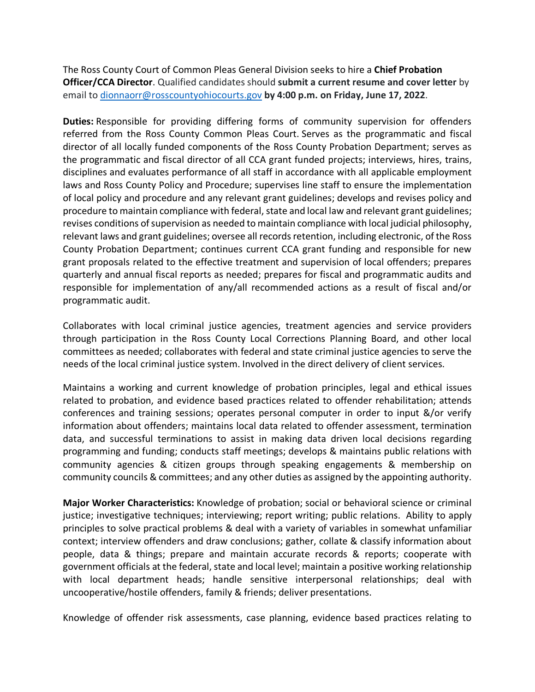The Ross County Court of Common Pleas General Division seeks to hire a **Chief Probation Officer/CCA Director**. Qualified candidates should **submit a current resume and cover letter** by email t[o dionnaorr@rosscountyohiocourts.gov](mailto:dionnaorr@rosscountyohiocourts.gov) **by 4:00 p.m. on Friday, June 17, 2022**.

**Duties:** Responsible for providing differing forms of community supervision for offenders referred from the Ross County Common Pleas Court. Serves as the programmatic and fiscal director of all locally funded components of the Ross County Probation Department; serves as the programmatic and fiscal director of all CCA grant funded projects; interviews, hires, trains, disciplines and evaluates performance of all staff in accordance with all applicable employment laws and Ross County Policy and Procedure; supervises line staff to ensure the implementation of local policy and procedure and any relevant grant guidelines; develops and revises policy and procedure to maintain compliance with federal, state and local law and relevant grant guidelines; revises conditions of supervision as needed to maintain compliance with local judicial philosophy, relevant laws and grant guidelines; oversee all records retention, including electronic, of the Ross County Probation Department; continues current CCA grant funding and responsible for new grant proposals related to the effective treatment and supervision of local offenders; prepares quarterly and annual fiscal reports as needed; prepares for fiscal and programmatic audits and responsible for implementation of any/all recommended actions as a result of fiscal and/or programmatic audit.

Collaborates with local criminal justice agencies, treatment agencies and service providers through participation in the Ross County Local Corrections Planning Board, and other local committees as needed; collaborates with federal and state criminal justice agencies to serve the needs of the local criminal justice system. Involved in the direct delivery of client services.

Maintains a working and current knowledge of probation principles, legal and ethical issues related to probation, and evidence based practices related to offender rehabilitation; attends conferences and training sessions; operates personal computer in order to input &/or verify information about offenders; maintains local data related to offender assessment, termination data, and successful terminations to assist in making data driven local decisions regarding programming and funding; conducts staff meetings; develops & maintains public relations with community agencies & citizen groups through speaking engagements & membership on community councils & committees; and any other duties as assigned by the appointing authority.

**Major Worker Characteristics:** Knowledge of probation; social or behavioral science or criminal justice; investigative techniques; interviewing; report writing; public relations. Ability to apply principles to solve practical problems & deal with a variety of variables in somewhat unfamiliar context; interview offenders and draw conclusions; gather, collate & classify information about people, data & things; prepare and maintain accurate records & reports; cooperate with government officials at the federal, state and local level; maintain a positive working relationship with local department heads; handle sensitive interpersonal relationships; deal with uncooperative/hostile offenders, family & friends; deliver presentations.

Knowledge of offender risk assessments, case planning, evidence based practices relating to